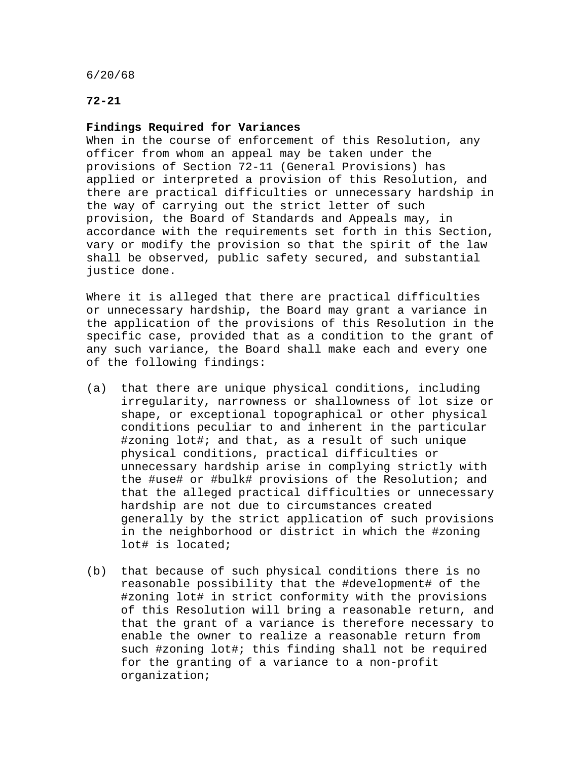6/20/68

## **72-21**

## **Findings Required for Variances**

When in the course of enforcement of this Resolution, any officer from whom an appeal may be taken under the provisions of Section 72-11 (General Provisions) has applied or interpreted a provision of this Resolution, and there are practical difficulties or unnecessary hardship in the way of carrying out the strict letter of such provision, the Board of Standards and Appeals may, in accordance with the requirements set forth in this Section, vary or modify the provision so that the spirit of the law shall be observed, public safety secured, and substantial justice done.

Where it is alleged that there are practical difficulties or unnecessary hardship, the Board may grant a variance in the application of the provisions of this Resolution in the specific case, provided that as a condition to the grant of any such variance, the Board shall make each and every one of the following findings:

- (a) that there are unique physical conditions, including irregularity, narrowness or shallowness of lot size or shape, or exceptional topographical or other physical conditions peculiar to and inherent in the particular #zoning lot#; and that, as a result of such unique physical conditions, practical difficulties or unnecessary hardship arise in complying strictly with the #use# or #bulk# provisions of the Resolution; and that the alleged practical difficulties or unnecessary hardship are not due to circumstances created generally by the strict application of such provisions in the neighborhood or district in which the #zoning lot# is located;
- (b) that because of such physical conditions there is no reasonable possibility that the #development# of the #zoning lot# in strict conformity with the provisions of this Resolution will bring a reasonable return, and that the grant of a variance is therefore necessary to enable the owner to realize a reasonable return from such #zoning lot#; this finding shall not be required for the granting of a variance to a non-profit organization;